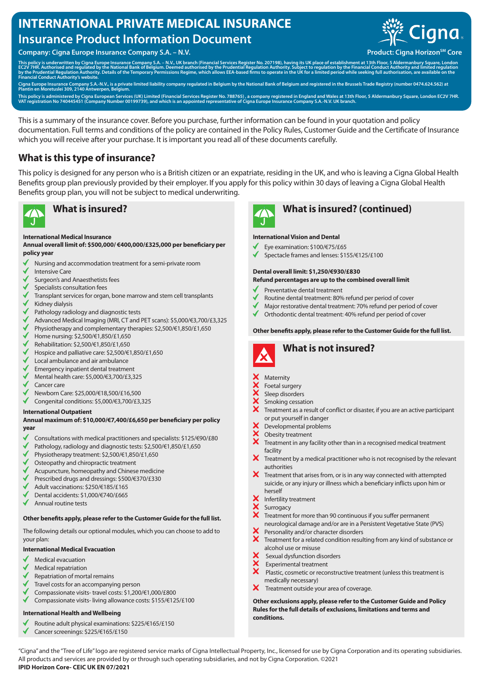# **INTERNATIONAL PRIVATE MEDICAL INSURANCE Insurance Product Information Document**

**Company: Cigna Europe Insurance Company S.A. – N.V. Product: Cigna Horizon<sup>SM</sup> Core** 



This policy is underwritten by Cigna Europe Insurance Company S.A. – N.V., UK branch (Financial Services Register No. 207198), having its UK place of establishment at 13th Floor, 5 Aldermanbury Square, London<br>EC2V 7HR. Aut

Cigna Europe Insurance Company S.A.-N.V., is a private limited liability company regulated in Belgium by the National Bank of Belgium and registered in the Brussels Trade Registry (number 0474.624.562) at<br>Plantin en Moretu

This policy is administered by Cigna European Services (UK) Limited (Financial Services Register No. 788765) , a company registered in England and Wales at 13th Floor, 5 Aldermanbury Square, London EC2V 7HR.<br>VAT registrati

This is a summary of the insurance cover. Before you purchase, further information can be found in your quotation and policy documentation. Full terms and conditions of the policy are contained in the Policy Rules, Customer Guide and the Certificate of Insurance which you will receive after your purchase. It is important you read all of these documents carefully.

### **What is this type of insurance?**

This policy is designed for any person who is a British citizen or an expatriate, residing in the UK, and who is leaving a Cigna Global Health Benefits group plan previously provided by their employer. If you apply for this policy within 30 days of leaving a Cigna Global Health Benefits group plan, you will not be subject to medical underwriting.



### **International Medical Insurance**

**Annual overall limit of: \$500,000/ €400,000/£325,000 per beneficiary per policy year**

- Nursing and accommodation treatment for a semi-private room
- Intensive Care
- Surgeon's and Anaesthetists fees
- Specialists consultation fees
- Transplant services for organ, bone marrow and stem cell transplants
- Kidney dialysis
- Pathology radiology and diagnostic tests
- $\checkmark$ Advanced Medical Imaging (MRI, CT and PET scans): \$5,000/€3,700/£3,325
- Physiotherapy and complementary therapies: \$2,500/€1,850/£1,650  $\checkmark$
- Home nursing: \$2,500/€1,850/£1,650
- Rehabilitation: \$2,500/€1,850/£1,650
- Hospice and palliative care: \$2,500/€1,850/£1,650
- Local ambulance and air ambulance
- Emergency inpatient dental treatment
- Mental health care: \$5,000/€3,700/£3,325
- Cancer care
- Newborn Care: \$25,000/€18,500/£16,500
- Congenital conditions: \$5,000/€3,700/£3,325

### **International Outpatient**

#### **Annual maximum of: \$10,000/€7,400/£6,650 per beneficiary per policy year**

- Consultations with medical practitioners and specialists: \$125/€90/£80
- Pathology, radiology and diagnostic tests: \$2,500/€1,850/£1,650
- Physiotherapy treatment: \$2,500/€1,850/£1,650
- Osteopathy and chiropractic treatment
- Acupuncture, homeopathy and Chinese medicine
- Prescribed drugs and dressings: \$500/€370/£330
- Adult vaccinations: \$250/€185/£165
- Dental accidents: \$1,000/€740/£665
- Annual routine tests

### **Other benefits apply, please refer to the Customer Guide for the full list.**

The following details our optional modules, which you can choose to add to your plan:

### **International Medical Evacuation**

- Medical evacuation
- Medical repatriation
- Repatriation of mortal remains
- Travel costs for an accompanying person
- Compassionate visits- travel costs: \$1,200/€1,000/£800
- Compassionate visits- living allowance costs: \$155/€125/£100

### **International Health and Wellbeing**

- Routine adult physical examinations: \$225/€165/£150
- Cancer screenings: \$225/€165/£150



# **What is insured? What is insured? (continued)**

### **International Vision and Dental**

- Eye examination: \$100/€75/£65
- Spectacle frames and lenses: \$155/€125/£100

### **Dental overall limit: \$1,250/€930/£830**

#### **Refund percentages are up to the combined overall limit**

- Preventative dental treatment
- Routine dental treatment: 80% refund per period of cover
- Major restorative dental treatment: 70% refund per period of cover
- $\checkmark$ Orthodontic dental treatment: 40% refund per period of cover

#### **Other benefits apply, please refer to the Customer Guide for the full list.**



# **What is not insured?**

### **Maternity**

- Foetal surgery
- Sleep disorders
- **xxxxx** Smoking cessation
- Treatment as a result of conflict or disaster, if you are an active participant or put yourself in danger
- Developmental problems
- XXX Obesity treatment
- Treatment in any facility other than in a recognised medical treatment facility
- X Treatment by a medical practitioner who is not recognised by the relevant authorities
- $\boldsymbol{\mathsf{X}}$ Treatment that arises from, or is in any way connected with attempted suicide, or any injury or illness which a beneficiary inflicts upon him or herself
- Infertility treatment
- Surrogacy
- Treatment for more than 90 continuous if you suffer permanent neurological damage and/or are in a Persistent Vegetative State (PVS)
- Personality and/or character disorders  $\mathbf{x}$
- Treatment for a related condition resulting from any kind of substance or alcohol use or misuse
- Sexual dysfunction disorders
- Experimental treatment
- $\overline{\mathbf{x}}$  Plastic, cosmetic or reconstructive treatment (unless this treatment is medically necessary)
- $\boldsymbol{\mathsf{x}}$ Treatment outside your area of coverage.

**Other exclusions apply, please refer to the Customer Guide and Policy Rules for the full details of exclusions, limitations and terms and conditions.**

"Cigna" and the "Tree of Life" logo are registered service marks of Cigna Intellectual Property, Inc., licensed for use by Cigna Corporation and its operating subsidiaries. All products and services are provided by or through such operating subsidiaries, and not by Cigna Corporation. ©2021 **IPID Horizon Core- CEIC UK EN 07/2021**